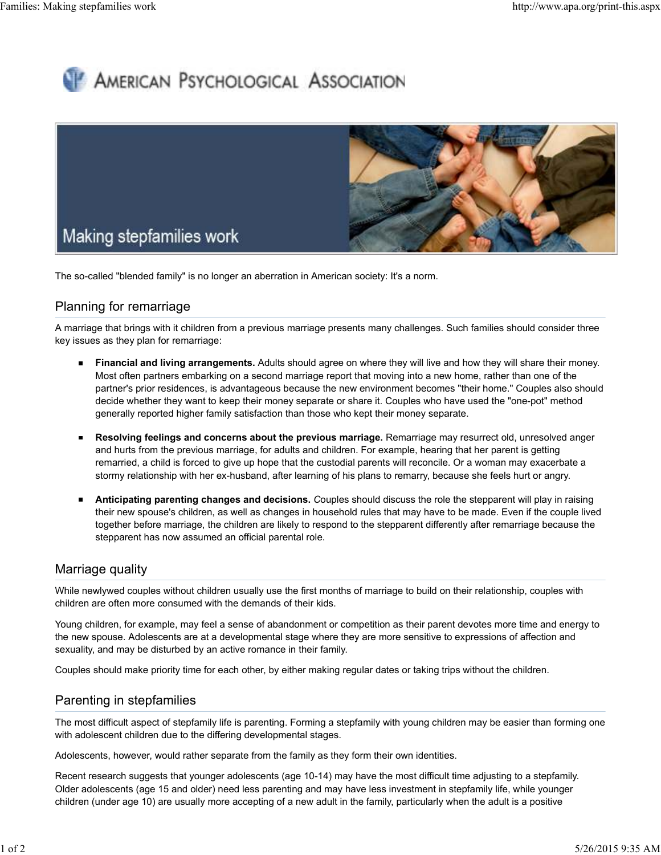# **AMERICAN PSYCHOLOGICAL ASSOCIATION**



The so-called "blended family" is no longer an aberration in American society: It's a norm.

## Planning for remarriage

A marriage that brings with it children from a previous marriage presents many challenges. Such families should consider three key issues as they plan for remarriage:

- **Financial and living arrangements.** Adults should agree on where they will live and how they will share their money. Most often partners embarking on a second marriage report that moving into a new home, rather than one of the partner's prior residences, is advantageous because the new environment becomes "their home." Couples also should decide whether they want to keep their money separate or share it. Couples who have used the "one-pot" method generally reported higher family satisfaction than those who kept their money separate.
- **Resolving feelings and concerns about the previous marriage.** Remarriage may resurrect old, unresolved anger  $\blacksquare$ and hurts from the previous marriage, for adults and children. For example, hearing that her parent is getting remarried, a child is forced to give up hope that the custodial parents will reconcile. Or a woman may exacerbate a stormy relationship with her ex-husband, after learning of his plans to remarry, because she feels hurt or angry.
- **Anticipating parenting changes and decisions.** *C*ouples should discuss the role the stepparent will play in raising their new spouse's children, as well as changes in household rules that may have to be made. Even if the couple lived together before marriage, the children are likely to respond to the stepparent differently after remarriage because the stepparent has now assumed an official parental role.

### Marriage quality

While newlywed couples without children usually use the first months of marriage to build on their relationship, couples with children are often more consumed with the demands of their kids.

Young children, for example, may feel a sense of abandonment or competition as their parent devotes more time and energy to the new spouse. Adolescents are at a developmental stage where they are more sensitive to expressions of affection and sexuality, and may be disturbed by an active romance in their family.

Couples should make priority time for each other, by either making regular dates or taking trips without the children.

#### Parenting in stepfamilies

The most difficult aspect of stepfamily life is parenting. Forming a stepfamily with young children may be easier than forming one with adolescent children due to the differing developmental stages.

Adolescents, however, would rather separate from the family as they form their own identities.

Recent research suggests that younger adolescents (age 10-14) may have the most difficult time adjusting to a stepfamily. Older adolescents (age 15 and older) need less parenting and may have less investment in stepfamily life, while younger children (under age 10) are usually more accepting of a new adult in the family, particularly when the adult is a positive